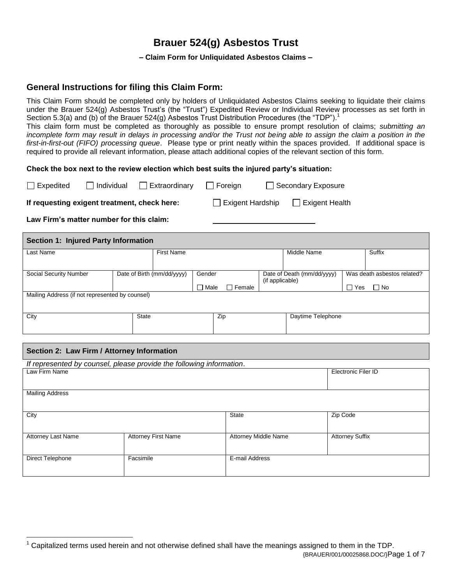# **Brauer 524(g) Asbestos Trust**

**– Claim Form for Unliquidated Asbestos Claims –**

# **General Instructions for filing this Claim Form:**

This Claim Form should be completed only by holders of Unliquidated Asbestos Claims seeking to liquidate their claims under the Brauer 524(g) Asbestos Trust's (the "Trust") Expedited Review or Individual Review processes as set forth in Section 5.3(a) and (b) of the Brauer 524(g) Asbestos Trust Distribution Procedures (the "TDP").<sup>1</sup>

This claim form must be completed as thoroughly as possible to ensure prompt resolution of claims; *submitting an incomplete form may result in delays in processing and/or the Trust not being able to assign the claim a position in the first-in-first-out (FIFO) processing queue*. Please type or print neatly within the spaces provided. If additional space is required to provide all relevant information, please attach additional copies of the relevant section of this form.

# **Check the box next to the review election which best suits the injured party's situation:**

| $\Box$ Expedited                             | $\Box$ Individual | $\Box$ Extraordinary | $\Box$ Foreign          | Secondary Exposure      |  |
|----------------------------------------------|-------------------|----------------------|-------------------------|-------------------------|--|
| If requesting exigent treatment, check here: |                   |                      | $\Box$ Exigent Hardship | <b>T</b> Exigent Health |  |

**Law Firm's matter number for this claim:**

**Section 1: Injured Party Information** Last Name Surface And The Suffix Control of First Name Name Number 1 (Suffix Suffix Suffix Suffix Suffix Suffix Suffix Suffix Suffix Surface And The Suffix Suffix Suffix Surface And The Suffix Surface And The Surface And T Social Security Number Date of Birth (mm/dd/yyyy) Gender □ Male □ Female Date of Death (mm/dd/yyyy) (if applicable) Was death asbestos related?  $\Box$  Yes  $\Box$  No Mailing Address (if not represented by counsel) City State Zip Daytime Telephone

# **Section 2: Law Firm / Attorney Information**

 $\overline{a}$ 

| If represented by counsel, please provide the following information. |                            |                      |                            |  |  |  |  |
|----------------------------------------------------------------------|----------------------------|----------------------|----------------------------|--|--|--|--|
| Law Firm Name                                                        |                            |                      | <b>Electronic Filer ID</b> |  |  |  |  |
| <b>Mailing Address</b>                                               |                            |                      |                            |  |  |  |  |
| City                                                                 |                            | State                | Zip Code                   |  |  |  |  |
| <b>Attorney Last Name</b>                                            | <b>Attorney First Name</b> | Attorney Middle Name | <b>Attorney Suffix</b>     |  |  |  |  |
| Direct Telephone                                                     | Facsimile                  | E-mail Address       |                            |  |  |  |  |

<sup>{</sup>BRAUER/001/00025868.DOC/}Page 1 of 7 <sup>1</sup> Capitalized terms used herein and not otherwise defined shall have the meanings assigned to them in the TDP.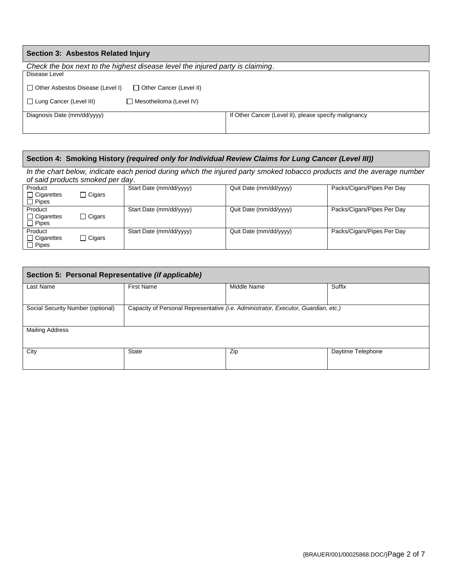| Section 3: Asbestos Related Injury                                             |                                                       |  |  |  |  |
|--------------------------------------------------------------------------------|-------------------------------------------------------|--|--|--|--|
| Check the box next to the highest disease level the injured party is claiming. |                                                       |  |  |  |  |
| Disease Level                                                                  |                                                       |  |  |  |  |
| □ Other Cancer (Level II)<br>□ Other Asbestos Disease (Level I)                |                                                       |  |  |  |  |
| $\Box$ Lung Cancer (Level III)<br>$\Box$ Mesothelioma (Level IV)               |                                                       |  |  |  |  |
| Diagnosis Date (mm/dd/yyyy)                                                    | If Other Cancer (Level II), please specify malignancy |  |  |  |  |

# **Section 4: Smoking History** *(required only for Individual Review Claims for Lung Cancer (Level III))*

In the chart below, indicate each period during which the injured party smoked tobacco products and the average number *of said products smoked per day*.

| Product<br>$\Box$ Cigarettes<br>$\Box$ Pipes | $\Box$ Cigars | Start Date (mm/dd/yyyy) | Quit Date (mm/dd/yyyy) | Packs/Cigars/Pipes Per Day |
|----------------------------------------------|---------------|-------------------------|------------------------|----------------------------|
| Product<br>$\Box$ Cigarettes<br>$\Box$ Pipes | $\Box$ Cigars | Start Date (mm/dd/yyyy) | Quit Date (mm/dd/yyyy) | Packs/Cigars/Pipes Per Day |
| Product<br>$\Box$ Cigarettes<br>$\Box$ Pipes | $\Box$ Cigars | Start Date (mm/dd/yyyy) | Quit Date (mm/dd/yyyy) | Packs/Cigars/Pipes Per Day |

| Section 5: Personal Representative (if applicable) |                                                                                    |             |                   |  |  |  |
|----------------------------------------------------|------------------------------------------------------------------------------------|-------------|-------------------|--|--|--|
| Last Name                                          | <b>First Name</b>                                                                  | Middle Name | Suffix            |  |  |  |
| Social Security Number (optional)                  | Capacity of Personal Representative (i.e. Administrator, Executor, Guardian, etc.) |             |                   |  |  |  |
| <b>Mailing Address</b>                             |                                                                                    |             |                   |  |  |  |
| City                                               | <b>State</b>                                                                       | Zip         | Daytime Telephone |  |  |  |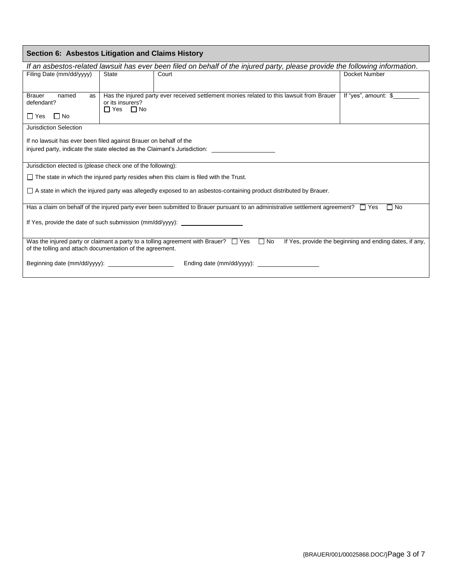| Section 6: Asbestos Litigation and Claims History                                                                                                                                                                          |                                                   |                                                                                                                              |                      |  |  |
|----------------------------------------------------------------------------------------------------------------------------------------------------------------------------------------------------------------------------|---------------------------------------------------|------------------------------------------------------------------------------------------------------------------------------|----------------------|--|--|
|                                                                                                                                                                                                                            |                                                   | If an asbestos-related lawsuit has ever been filed on behalf of the injured party, please provide the following information. |                      |  |  |
| Filing Date (mm/dd/yyyy)                                                                                                                                                                                                   | <b>State</b>                                      | Court                                                                                                                        | Docket Number        |  |  |
|                                                                                                                                                                                                                            |                                                   |                                                                                                                              |                      |  |  |
| <b>Brauer</b><br>named<br>as                                                                                                                                                                                               | or its insurers?                                  | Has the injured party ever received settlement monies related to this lawsuit from Brauer                                    | If "yes", amount: \$ |  |  |
| defendant?                                                                                                                                                                                                                 | $\Box$ Yes $\Box$ No                              |                                                                                                                              |                      |  |  |
| $\Box$ No<br>$\Box$ Yes                                                                                                                                                                                                    |                                                   |                                                                                                                              |                      |  |  |
| <b>Jurisdiction Selection</b>                                                                                                                                                                                              |                                                   |                                                                                                                              |                      |  |  |
| If no lawsuit has ever been filed against Brauer on behalf of the                                                                                                                                                          |                                                   |                                                                                                                              |                      |  |  |
|                                                                                                                                                                                                                            |                                                   | injured party, indicate the state elected as the Claimant's Jurisdiction:                                                    |                      |  |  |
| Jurisdiction elected is (please check one of the following):                                                                                                                                                               |                                                   |                                                                                                                              |                      |  |  |
|                                                                                                                                                                                                                            |                                                   | $\Box$ The state in which the injured party resides when this claim is filed with the Trust.                                 |                      |  |  |
|                                                                                                                                                                                                                            |                                                   | □ A state in which the injured party was allegedly exposed to an asbestos-containing product distributed by Brauer.          |                      |  |  |
|                                                                                                                                                                                                                            |                                                   |                                                                                                                              |                      |  |  |
| Has a claim on behalf of the injured party ever been submitted to Brauer pursuant to an administrative settlement agreement? $\Box$ Yes<br>$\Box$ No                                                                       |                                                   |                                                                                                                              |                      |  |  |
| If Yes, provide the date of such submission (mm/dd/yyyy):                                                                                                                                                                  |                                                   |                                                                                                                              |                      |  |  |
|                                                                                                                                                                                                                            |                                                   |                                                                                                                              |                      |  |  |
| Was the injured party or claimant a party to a tolling agreement with Brauer? $\Box$ Yes $\Box$ No<br>If Yes, provide the beginning and ending dates, if any,<br>of the tolling and attach documentation of the agreement. |                                                   |                                                                                                                              |                      |  |  |
|                                                                                                                                                                                                                            |                                                   |                                                                                                                              |                      |  |  |
|                                                                                                                                                                                                                            | Ending date (mm/dd/yyyy): _______________________ |                                                                                                                              |                      |  |  |
|                                                                                                                                                                                                                            |                                                   |                                                                                                                              |                      |  |  |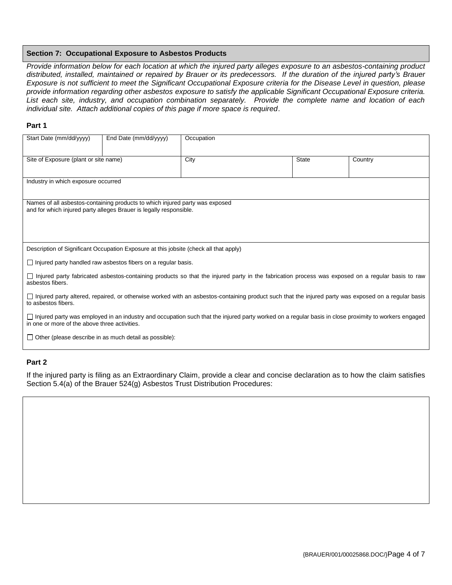#### **Section 7: Occupational Exposure to Asbestos Products**

*Provide information below for each location at which the injured party alleges exposure to an asbestos-containing product distributed, installed, maintained or repaired by Brauer or its predecessors. If the duration of the injured party's Brauer Exposure is not sufficient to meet the Significant Occupational Exposure criteria for the Disease Level in question, please provide information regarding other asbestos exposure to satisfy the applicable Significant Occupational Exposure criteria. List each site, industry, and occupation combination separately. Provide the complete name and location of each individual site. Attach additional copies of this page if more space is required*.

#### **Part 1**

| Start Date (mm/dd/yyyy)                                                                                                                                                                                      | End Date (mm/dd/yyyy)                                                                                                                              | Occupation |              |         |  |  |
|--------------------------------------------------------------------------------------------------------------------------------------------------------------------------------------------------------------|----------------------------------------------------------------------------------------------------------------------------------------------------|------------|--------------|---------|--|--|
| Site of Exposure (plant or site name)                                                                                                                                                                        |                                                                                                                                                    | City       | <b>State</b> | Country |  |  |
| Industry in which exposure occurred                                                                                                                                                                          |                                                                                                                                                    |            |              |         |  |  |
|                                                                                                                                                                                                              | Names of all asbestos-containing products to which injured party was exposed<br>and for which injured party alleges Brauer is legally responsible. |            |              |         |  |  |
|                                                                                                                                                                                                              | Description of Significant Occupation Exposure at this jobsite (check all that apply)                                                              |            |              |         |  |  |
|                                                                                                                                                                                                              | $\Box$ Injured party handled raw asbestos fibers on a regular basis.                                                                               |            |              |         |  |  |
| asbestos fibers.                                                                                                                                                                                             | □ Injured party fabricated asbestos-containing products so that the injured party in the fabrication process was exposed on a regular basis to raw |            |              |         |  |  |
| □ Injured party altered, repaired, or otherwise worked with an asbestos-containing product such that the injured party was exposed on a regular basis<br>to asbestos fibers.                                 |                                                                                                                                                    |            |              |         |  |  |
| $\Box$ Injured party was employed in an industry and occupation such that the injured party worked on a regular basis in close proximity to workers engaged<br>in one or more of the above three activities. |                                                                                                                                                    |            |              |         |  |  |
|                                                                                                                                                                                                              | $\Box$ Other (please describe in as much detail as possible):                                                                                      |            |              |         |  |  |

# **Part 2**

If the injured party is filing as an Extraordinary Claim, provide a clear and concise declaration as to how the claim satisfies Section 5.4(a) of the Brauer 524(g) Asbestos Trust Distribution Procedures: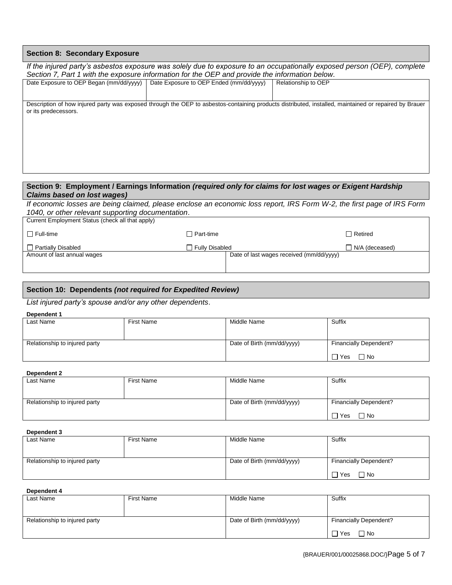# **Section 8: Secondary Exposure**

| If the injured party's asbestos exposure was solely due to exposure to an occupationally exposed person (OEP), complete |                                                                                                |                                                                                                                                                       |  |  |  |  |
|-------------------------------------------------------------------------------------------------------------------------|------------------------------------------------------------------------------------------------|-------------------------------------------------------------------------------------------------------------------------------------------------------|--|--|--|--|
|                                                                                                                         | Section 7, Part 1 with the exposure information for the OEP and provide the information below. |                                                                                                                                                       |  |  |  |  |
| Date Exposure to OEP Began (mm/dd/yyyy)                                                                                 | Date Exposure to OEP Ended (mm/dd/yyyy)                                                        | Relationship to OEP                                                                                                                                   |  |  |  |  |
|                                                                                                                         |                                                                                                |                                                                                                                                                       |  |  |  |  |
|                                                                                                                         |                                                                                                |                                                                                                                                                       |  |  |  |  |
| or its predecessors.                                                                                                    |                                                                                                | Description of how injured party was exposed through the OEP to asbestos-containing products distributed, installed, maintained or repaired by Brauer |  |  |  |  |
|                                                                                                                         |                                                                                                |                                                                                                                                                       |  |  |  |  |
|                                                                                                                         |                                                                                                |                                                                                                                                                       |  |  |  |  |
|                                                                                                                         |                                                                                                |                                                                                                                                                       |  |  |  |  |
|                                                                                                                         |                                                                                                |                                                                                                                                                       |  |  |  |  |
|                                                                                                                         |                                                                                                |                                                                                                                                                       |  |  |  |  |
|                                                                                                                         |                                                                                                |                                                                                                                                                       |  |  |  |  |
|                                                                                                                         |                                                                                                |                                                                                                                                                       |  |  |  |  |

#### **Section 9: Employment / Earnings Information** *(required only for claims for lost wages or Exigent Hardship Claims based on lost wages)*

*If economic losses are being claimed, please enclose an economic loss report, IRS Form W-2, the first page of IRS Form 1040, or other relevant supporting documentation*.

| Current Employment Status (check all that apply) |                       |                                          |                       |
|--------------------------------------------------|-----------------------|------------------------------------------|-----------------------|
| $\Box$ Full-time                                 | $\Box$ Part-time      |                                          | $\Box$ Retired        |
| □ Partially Disabled                             | $\Box$ Fully Disabled |                                          | $\neg$ N/A (deceased) |
| Amount of last annual wages                      |                       | Date of last wages received (mm/dd/yyyy) |                       |
|                                                  |                       |                                          |                       |
|                                                  |                       |                                          |                       |

#### **Section 10: Dependents** *(not required for Expedited Review)*

*List injured party's spouse and/or any other dependents*.

# **Dependent 1**

| Last Name                     | <b>First Name</b> | Middle Name                | Suffix                        |
|-------------------------------|-------------------|----------------------------|-------------------------------|
|                               |                   |                            |                               |
|                               |                   |                            |                               |
| Relationship to injured party |                   | Date of Birth (mm/dd/yyyy) | <b>Financially Dependent?</b> |
|                               |                   |                            |                               |
|                               |                   |                            | □ Yes<br>$\Box$ No            |

#### **Dependent 2**

| Last Name                     | <b>First Name</b> | Middle Name                | Suffix                        |
|-------------------------------|-------------------|----------------------------|-------------------------------|
|                               |                   |                            |                               |
| Relationship to injured party |                   | Date of Birth (mm/dd/yyyy) | <b>Financially Dependent?</b> |
|                               |                   |                            | $\neg$ Yes<br>$\Box$ No       |

# **Dependent 3**

| Last Name                     | First Name | Middle Name                | Suffix                 |
|-------------------------------|------------|----------------------------|------------------------|
| Relationship to injured party |            | Date of Birth (mm/dd/yyyy) | Financially Dependent? |
|                               |            |                            | $\neg$ Yes<br>口 No     |

# **Dependent 4**

| Last Name                     | First Name | Middle Name                | Suffix                        |
|-------------------------------|------------|----------------------------|-------------------------------|
|                               |            |                            |                               |
| Relationship to injured party |            | Date of Birth (mm/dd/yyyy) | <b>Financially Dependent?</b> |
|                               |            |                            | Yes<br>∃ No                   |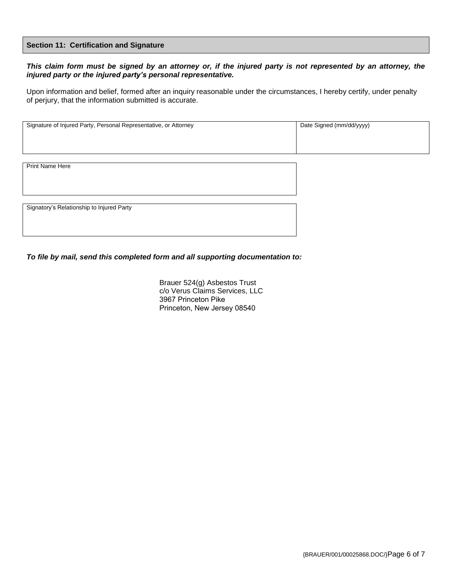#### **Section 11: Certification and Signature**

# *This claim form must be signed by an attorney or, if the injured party is not represented by an attorney, the injured party or the injured party's personal representative.*

Upon information and belief, formed after an inquiry reasonable under the circumstances, I hereby certify, under penalty of perjury, that the information submitted is accurate.

| Signature of Injured Party, Personal Representative, or Attorney | Date Signed (mm/dd/yyyy) |
|------------------------------------------------------------------|--------------------------|
|                                                                  |                          |

Print Name Here

Signatory's Relationship to Injured Party

*To file by mail, send this completed form and all supporting documentation to:*

Brauer 524(g) Asbestos Trust c/o Verus Claims Services, LLC 3967 Princeton Pike Princeton, New Jersey 08540